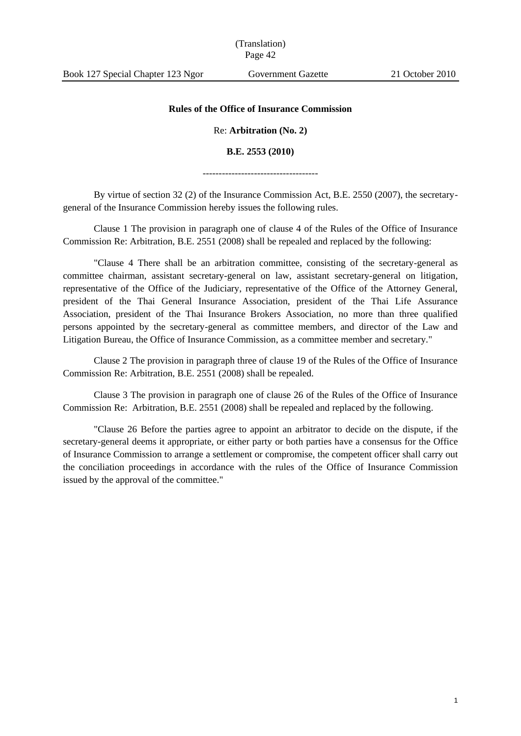(Translation) Page 42

## **Rules of the Office of Insurance Commission**

Re: **Arbitration (No. 2)**

## **B.E. 2553 (2010)**

------------------------------------

By virtue of section 32 (2) of the Insurance Commission Act, B.E. 2550 (2007), the secretarygeneral of the Insurance Commission hereby issues the following rules.

Clause 1 The provision in paragraph one of clause 4 of the Rules of the Office of Insurance Commission Re: Arbitration, B.E. 2551 (2008) shall be repealed and replaced by the following:

"Clause 4 There shall be an arbitration committee, consisting of the secretary-general as committee chairman, assistant secretary-general on law, assistant secretary-general on litigation, representative of the Office of the Judiciary, representative of the Office of the Attorney General, president of the Thai General Insurance Association, president of the Thai Life Assurance Association, president of the Thai Insurance Brokers Association, no more than three qualified persons appointed by the secretary-general as committee members, and director of the Law and Litigation Bureau, the Office of Insurance Commission, as a committee member and secretary."

Clause 2 The provision in paragraph three of clause 19 of the Rules of the Office of Insurance Commission Re: Arbitration, B.E. 2551 (2008) shall be repealed.

Clause 3 The provision in paragraph one of clause 26 of the Rules of the Office of Insurance Commission Re: Arbitration, B.E. 2551 (2008) shall be repealed and replaced by the following.

"Clause 26 Before the parties agree to appoint an arbitrator to decide on the dispute, if the secretary-general deems it appropriate, or either party or both parties have a consensus for the Office of Insurance Commission to arrange a settlement or compromise, the competent officer shall carry out the conciliation proceedings in accordance with the rules of the Office of Insurance Commission issued by the approval of the committee."